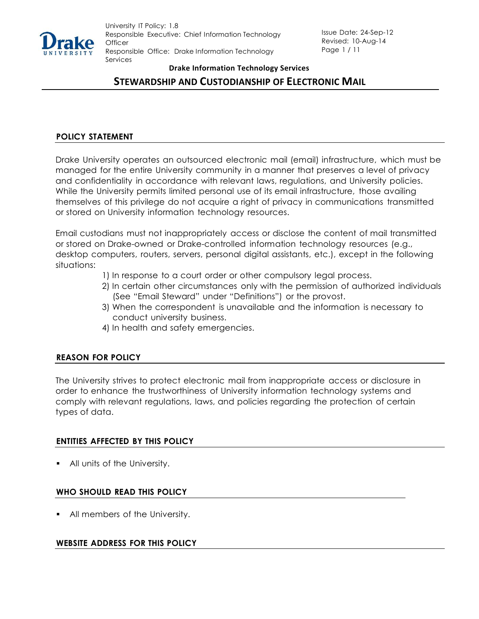

# **STEWARDSHIP AND CUSTODIANSHIP OF ELECTRONIC MAIL**

## **POLICY STATEMENT**

Drake University operates an outsourced electronic mail (email) infrastructure, which must be managed for the entire University community in a manner that preserves a level of privacy and confidentiality in accordance with relevant laws, regulations, and University policies. While the University permits limited personal use of its email infrastructure, those availing themselves of this privilege do not acquire a right of privacy in communications transmitted or stored on University information technology resources.

Email custodians must not inappropriately access or disclose the content of mail transmitted or stored on Drake-owned or Drake-controlled information technology resources (e.g., desktop computers, routers, servers, personal digital assistants, etc.), except in the following situations:

- 1) In response to a court order or other compulsory legal process.
- 2) In certain other circumstances only with the permission of authorized individuals (See "Email Steward" under "Definitions") or the provost.
- 3) When the correspondent is unavailable and the information is necessary to conduct university business.
- 4) In health and safety emergencies.

## **REASON FOR POLICY**

The University strives to protect electronic mail from inappropriate access or disclosure in order to enhance the trustworthiness of University information technology systems and comply with relevant regulations, laws, and policies regarding the protection of certain types of data.

#### **ENTITIES AFFECTED BY THIS POLICY**

All units of the University.

## **WHO SHOULD READ THIS POLICY**

All members of the University.

#### **WEBSITE ADDRESS FOR THIS POLICY**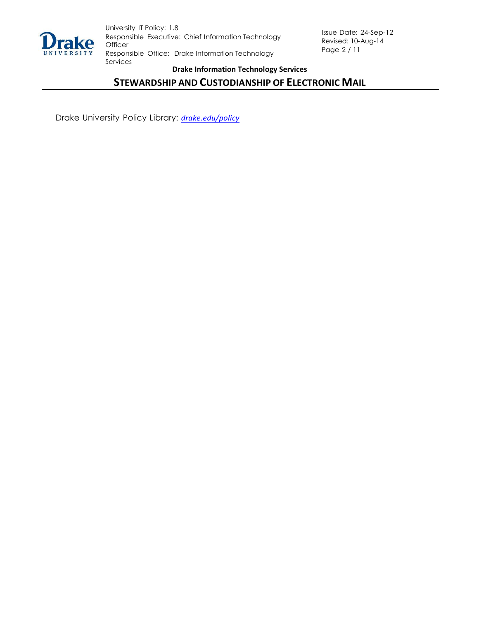

# **STEWARDSHIP AND CUSTODIANSHIP OF ELECTRONIC MAIL**

Drake University Policy Library: *[drake.edu/p](http://www.drake.edu/governance/policies.php)olicy*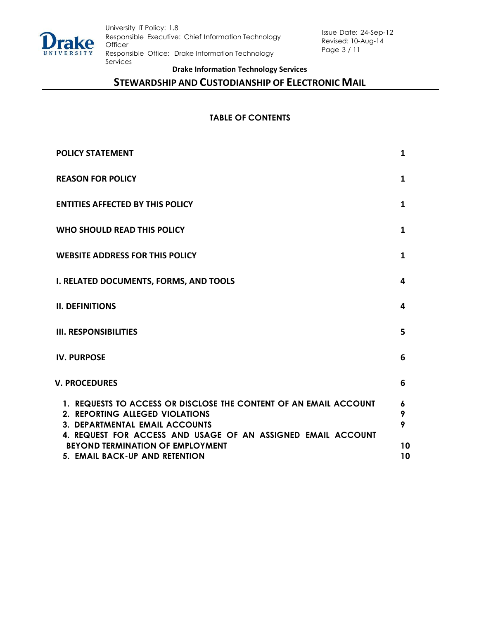

# **STEWARDSHIP AND CUSTODIANSHIP OF ELECTRONIC MAIL**

## **TABLE OF CONTENTS**

| <b>POLICY STATEMENT</b>                                                                                                                                                                                       | 1           |
|---------------------------------------------------------------------------------------------------------------------------------------------------------------------------------------------------------------|-------------|
| <b>REASON FOR POLICY</b>                                                                                                                                                                                      | 1           |
| <b>ENTITIES AFFECTED BY THIS POLICY</b>                                                                                                                                                                       | 1           |
| WHO SHOULD READ THIS POLICY                                                                                                                                                                                   | 1           |
| <b>WEBSITE ADDRESS FOR THIS POLICY</b>                                                                                                                                                                        | 1           |
| <b>I. RELATED DOCUMENTS, FORMS, AND TOOLS</b>                                                                                                                                                                 | 4           |
| <b>II. DEFINITIONS</b>                                                                                                                                                                                        | 4           |
| <b>III. RESPONSIBILITIES</b>                                                                                                                                                                                  | 5           |
| <b>IV. PURPOSE</b>                                                                                                                                                                                            | 6           |
| <b>V. PROCEDURES</b>                                                                                                                                                                                          | 6           |
| 1. REQUESTS TO ACCESS OR DISCLOSE THE CONTENT OF AN EMAIL ACCOUNT<br>2. REPORTING ALLEGED VIOLATIONS<br><b>3. DEPARTMENTAL EMAIL ACCOUNTS</b><br>4. REQUEST FOR ACCESS AND USAGE OF AN ASSIGNED EMAIL ACCOUNT | 6<br>9<br>9 |
| <b>BEYOND TERMINATION OF EMPLOYMENT</b><br>5. EMAIL BACK-UP AND RETENTION                                                                                                                                     | 10<br>10    |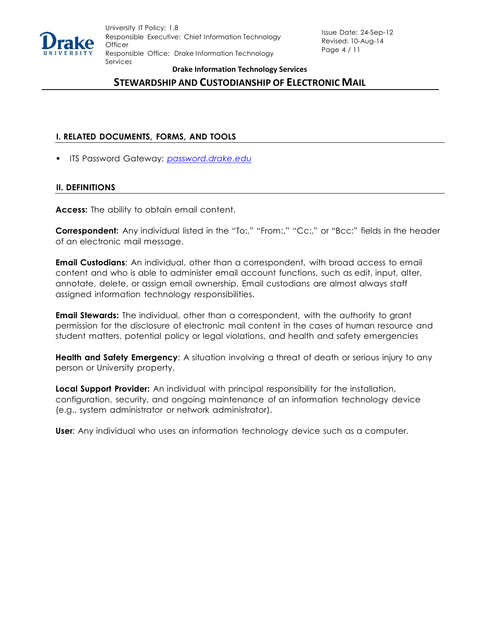

# **STEWARDSHIP AND CUSTODIANSHIP OF ELECTRONIC MAIL**

## **I. RELATED DOCUMENTS, FORMS, AND TOOLS**

▪ ITS Password Gateway: *password.drake.edu*

## **II. DEFINITIONS**

**Access:** The ability to obtain email content.

**Correspondent:** Any individual listed in the "To:," "From:," "Cc:," or "Bcc:" fields in the header of an electronic mail message.

**Email Custodians**: An individual, other than a correspondent, with broad access to email content and who is able to administer email account functions, such as edit, input, alter, annotate, delete, or assign email ownership. Email custodians are almost always staff assigned information technology responsibilities.

**Email Stewards:** The individual, other than a correspondent, with the authority to grant permission for the disclosure of electronic mail content in the cases of human resource and student matters, potential policy or legal violations, and health and safety emergencies

**Health and Safety Emergency**: A situation involving a threat of death or serious injury to any person or University property.

**Local Support Provider:** An individual with principal responsibility for the installation, configuration, security, and ongoing maintenance of an information technology device (e.g., system administrator or network administrator).

**User**: Any individual who uses an information technology device such as a computer.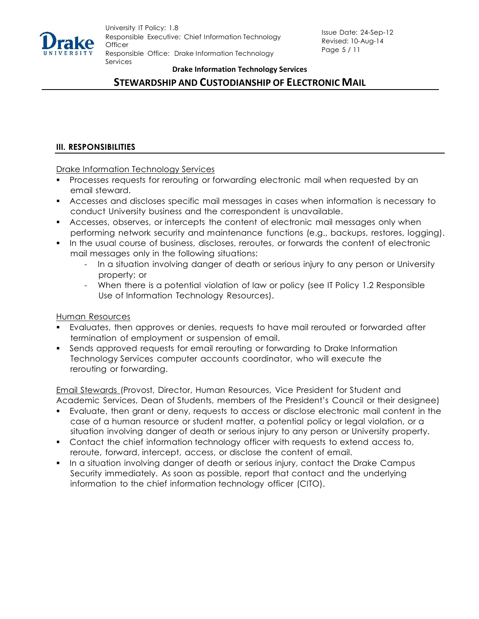

# **STEWARDSHIP AND CUSTODIANSHIP OF ELECTRONIC MAIL**

## **III. RESPONSIBILITIES**

Drake Information Technology Services

- Processes requests for rerouting or forwarding electronic mail when requested by an email steward.
- Accesses and discloses specific mail messages in cases when information is necessary to conduct University business and the correspondent is unavailable.
- **EXEC** Accesses, observes, or intercepts the content of electronic mail messages only when performing network security and maintenance functions (e.g., backups, restores, logging).
- In the usual course of business, discloses, reroutes, or forwards the content of electronic mail messages only in the following situations:
	- In a situation involving danger of death or serious injury to any person or University property; or
	- When there is a potential violation of law or policy (see IT Policy 1.2 Responsible Use of Information Technology Resources).

#### Human Resources

- Evaluates, then approves or denies, requests to have mail rerouted or forwarded after termination of employment or suspension of email.
- Sends approved requests for email rerouting or forwarding to Drake Information Technology Services computer accounts coordinator, who will execute the rerouting or forwarding.

Email Stewards (Provost, Director, Human Resources, Vice President for Student and Academic Services, Dean of Students, members of the President's Council or their designee)

- Evaluate, then grant or deny, requests to access or disclose electronic mail content in the case of a human resource or student matter, a potential policy or legal violation, or a situation involving danger of death or serious injury to any person or University property.
- Contact the chief information technology officer with requests to extend access to, reroute, forward, intercept, access, or disclose the content of email.
- In a situation involving danger of death or serious injury, contact the Drake Campus Security immediately. As soon as possible, report that contact and the underlying information to the chief information technology officer (CITO).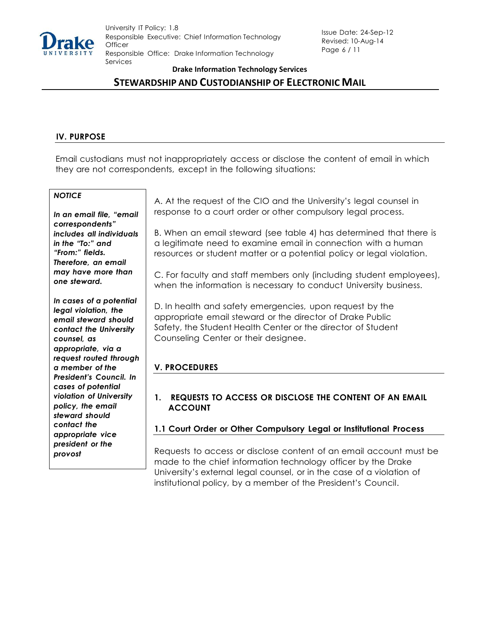

# **STEWARDSHIP AND CUSTODIANSHIP OF ELECTRONIC MAIL**

## **IV. PURPOSE**

Email custodians must not inappropriately access or disclose the content of email in which they are not correspondents, except in the following situations:

## *NOTICE*

*In an email file, "email correspondents" includes all individuals in the "To:" and "From:" fields. Therefore, an email may have more than one steward.*

*In cases of a potential legal violation, the email steward should contact the University counsel, as appropriate, via a request routed through a member of the President's Council. In cases of potential violation of University policy, the email steward should contact the appropriate vice president or the provost*

A. At the request of the CIO and the University's legal counsel in response to a court order or other compulsory legal process.

B. When an email steward (see table 4) has determined that there is a legitimate need to examine email in connection with a human resources or student matter or a potential policy or legal violation.

C. For faculty and staff members only (including student employees), when the information is necessary to conduct University business.

D. In health and safety emergencies, upon request by the appropriate email steward or the director of Drake Public Safety, the Student Health Center or the director of Student Counseling Center or their designee.

## **V. PROCEDURES**

## **1. REQUESTS TO ACCESS OR DISCLOSE THE CONTENT OF AN EMAIL ACCOUNT**

## **1.1 Court Order or Other Compulsory Legal or Institutional Process**

Requests to access or disclose content of an email account must be made to the chief information technology officer by the Drake University's external legal counsel, or in the case of a violation of institutional policy, by a member of the President's Council.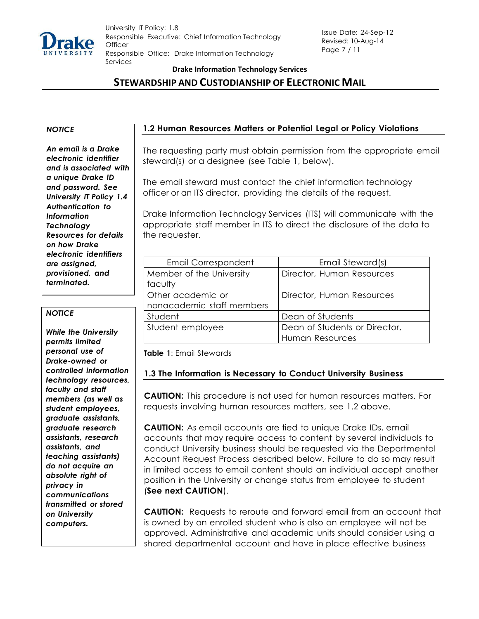

# **STEWARDSHIP AND CUSTODIANSHIP OF ELECTRONIC MAIL**

*An email is a Drake electronic identifier and is associated with a unique Drake ID and password. See University IT Policy 1.4 Authentication to Information Technology Resources for details on how Drake electronic identifiers are assigned, provisioned, and terminated.*

#### *NOTICE*

*While the University permits limited personal use of Drake-owned or controlled information technology resources, faculty and staff members (as well as student employees, graduate assistants, graduate research assistants, research assistants, and teaching assistants) do not acquire an absolute right of privacy in communications transmitted or stored on University computers.*

## *NOTICE* **1.2 Human Resources Matters or Potential Legal or Policy Violations**

The requesting party must obtain permission from the appropriate email steward(s) or a designee (see Table 1, below).

The email steward must contact the chief information technology officer or an ITS director, providing the details of the request.

Drake Information Technology Services (ITS) will communicate with the appropriate staff member in ITS to direct the disclosure of the data to the requester.

| Email Correspondent       | Email Steward(s)              |
|---------------------------|-------------------------------|
| Member of the University  | Director, Human Resources     |
| faculty                   |                               |
| Other academic or         | Director, Human Resources     |
| nonacademic staff members |                               |
| Student                   | Dean of Students              |
| Student employee          | Dean of Students or Director, |
|                           | Human Resources               |

**Table 1**: Email Stewards

## **1.3 The Information is Necessary to Conduct University Business**

**CAUTION:** This procedure is not used for human resources matters. For requests involving human resources matters, see 1.2 above.

**CAUTION:** As email accounts are tied to unique Drake IDs, email accounts that may require access to content by several individuals to conduct University business should be requested via the Departmental Account Request Process described below. Failure to do so may result in limited access to email content should an individual accept another position in the University or change status from employee to student (**See next CAUTION**).

**CAUTION:** Requests to reroute and forward email from an account that is owned by an enrolled student who is also an employee will not be approved. Administrative and academic units should consider using a shared departmental account and have in place effective business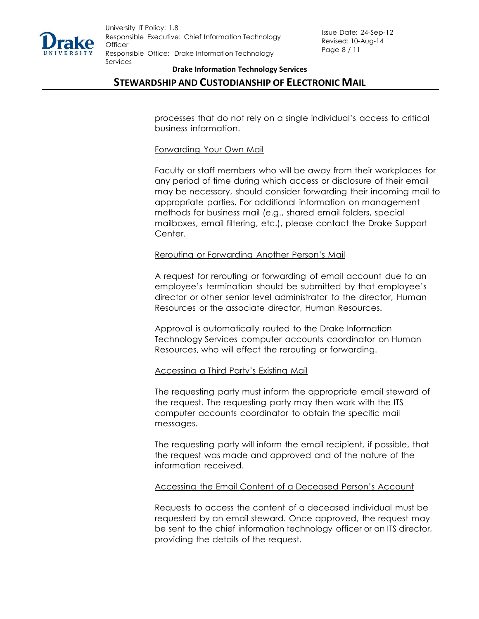

## **STEWARDSHIP AND CUSTODIANSHIP OF ELECTRONIC MAIL**

processes that do not rely on a single individual's access to critical business information.

#### Forwarding Your Own Mail

Faculty or staff members who will be away from their workplaces for any period of time during which access or disclosure of their email may be necessary, should consider forwarding their incoming mail to appropriate parties. For additional information on management methods for business mail (e.g., shared email folders, special mailboxes, email filtering, etc.), please contact the Drake Support Center.

#### Rerouting or Forwarding Another Person's Mail

A request for rerouting or forwarding of email account due to an employee's termination should be submitted by that employee's director or other senior level administrator to the director, Human Resources or the associate director, Human Resources.

Approval is automatically routed to the Drake Information Technology Services computer accounts coordinator on Human Resources, who will effect the rerouting or forwarding.

#### Accessing a Third Party's Existing Mail

The requesting party must inform the appropriate email steward of the request. The requesting party may then work with the ITS computer accounts coordinator to obtain the specific mail messages.

The requesting party will inform the email recipient, if possible, that the request was made and approved and of the nature of the information received.

#### Accessing the Email Content of a Deceased Person's Account

Requests to access the content of a deceased individual must be requested by an email steward. Once approved, the request may be sent to the chief information technology officer or an ITS director, providing the details of the request.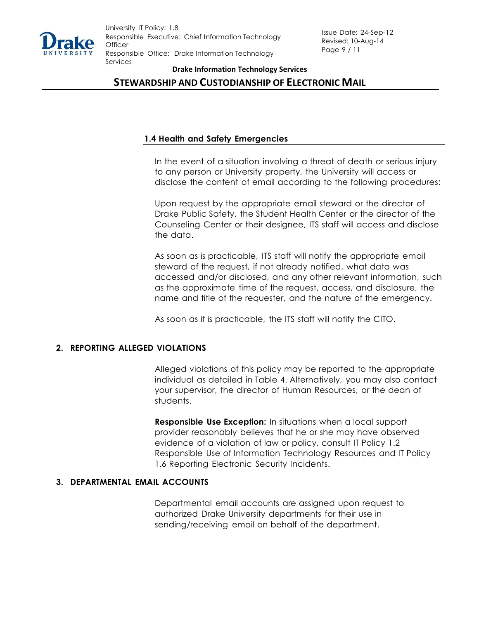

## **STEWARDSHIP AND CUSTODIANSHIP OF ELECTRONIC MAIL**

### **1.4 Health and Safety Emergencies**

In the event of a situation involving a threat of death or serious injury to any person or University property, the University will access or disclose the content of email according to the following procedures:

Upon request by the appropriate email steward or the director of Drake Public Safety, the Student Health Center or the director of the Counseling Center or their designee, ITS staff will access and disclose the data.

As soon as is practicable, ITS staff will notify the appropriate email steward of the request, if not already notified, what data was accessed and/or disclosed, and any other relevant information, such as the approximate time of the request, access, and disclosure, the name and title of the requester, and the nature of the emergency.

As soon as it is practicable, the ITS staff will notify the CITO.

#### **2. REPORTING ALLEGED VIOLATIONS**

Alleged violations of this policy may be reported to the appropriate individual as detailed in Table 4. Alternatively, you may also contact your supervisor, the director of Human Resources, or the dean of students.

**Responsible Use Exception:** In situations when a local support provider reasonably believes that he or she may have observed evidence of a violation of law or policy, consult IT Policy 1.2 Responsible Use of Information Technology Resources and IT Policy 1.6 Reporting Electronic Security Incidents.

### **3. DEPARTMENTAL EMAIL ACCOUNTS**

Departmental email accounts are assigned upon request to authorized Drake University departments for their use in sending/receiving email on behalf of the department.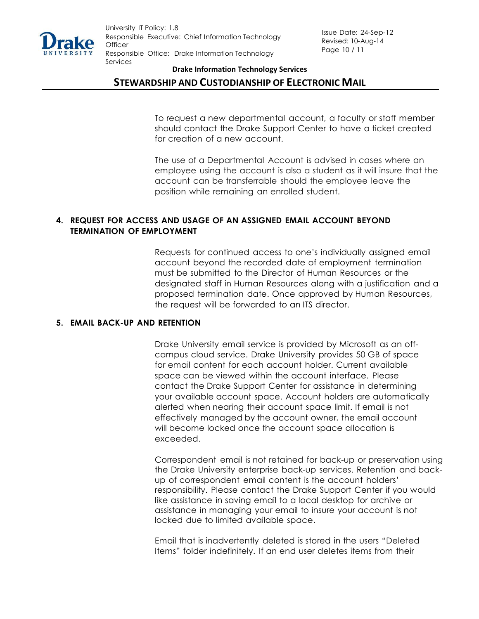

## **STEWARDSHIP AND CUSTODIANSHIP OF ELECTRONIC MAIL**

To request a new departmental account, a faculty or staff member should contact the Drake Support Center to have a ticket created for creation of a new account.

The use of a Departmental Account is advised in cases where an employee using the account is also a student as it will insure that the account can be transferrable should the employee leave the position while remaining an enrolled student.

## **4. REQUEST FOR ACCESS AND USAGE OF AN ASSIGNED EMAIL ACCOUNT BEYOND TERMINATION OF EMPLOYMENT**

Requests for continued access to one's individually assigned email account beyond the recorded date of employment termination must be submitted to the Director of Human Resources or the designated staff in Human Resources along with a justification and a proposed termination date. Once approved by Human Resources, the request will be forwarded to an ITS director.

#### **5. EMAIL BACK-UP AND RETENTION**

Drake University email service is provided by Microsoft as an offcampus cloud service. Drake University provides 50 GB of space for email content for each account holder. Current available space can be viewed within the account interface. Please contact the Drake Support Center for assistance in determining your available account space. Account holders are automatically alerted when nearing their account space limit. If email is not effectively managed by the account owner, the email account will become locked once the account space allocation is exceeded.

Correspondent email is not retained for back-up or preservation using the Drake University enterprise back-up services. Retention and backup of correspondent email content is the account holders' responsibility. Please contact the Drake Support Center if you would like assistance in saving email to a local desktop for archive or assistance in managing your email to insure your account is not locked due to limited available space.

Email that is inadvertently deleted is stored in the users "Deleted Items" folder indefinitely. If an end user deletes items from their